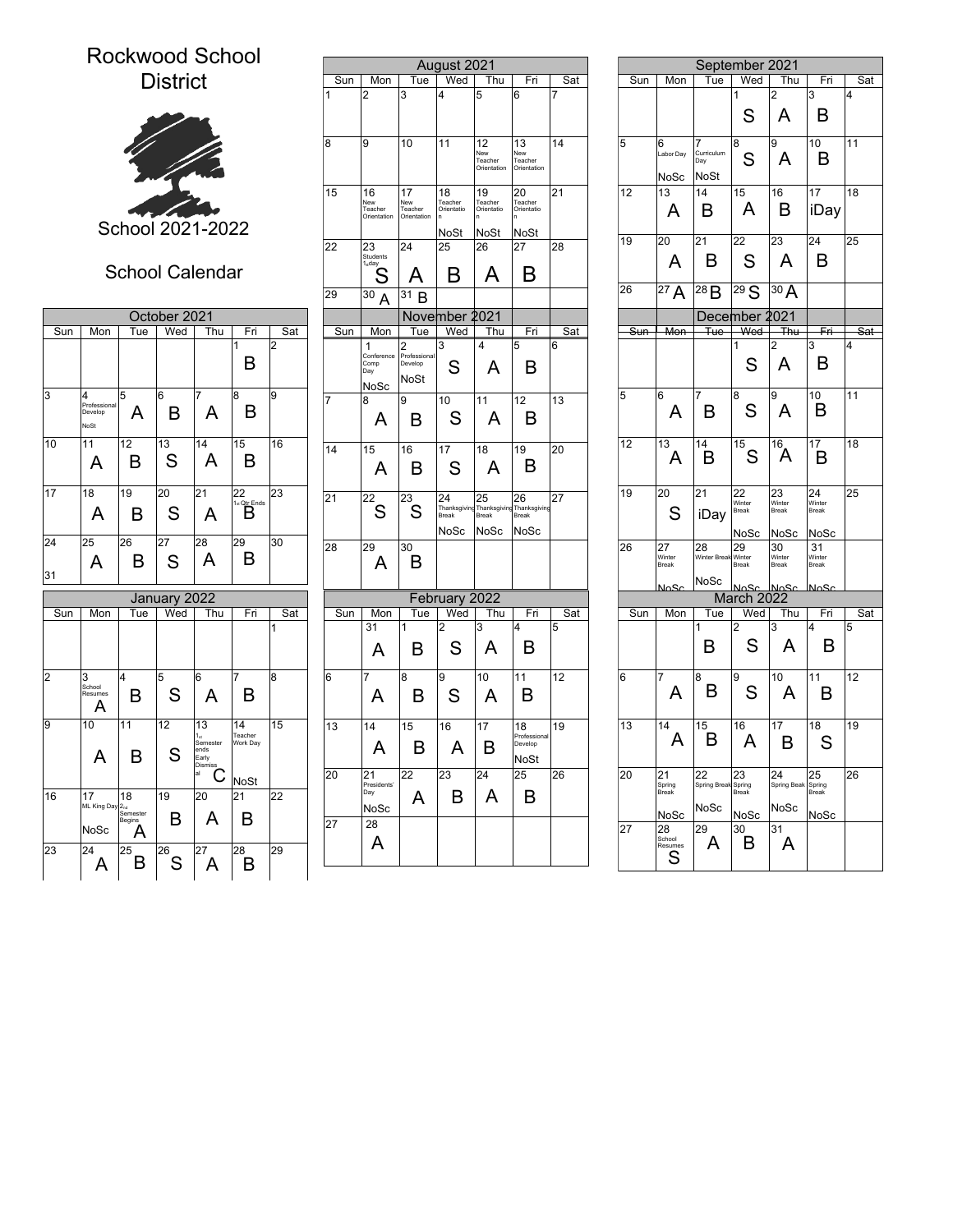## Rockwood School District



## School Calendar

|          |                                      |                                   |                     | School 2021-2022                                 |                                     |                | 15  | 16<br>New<br>Teacher<br>Orientation  |
|----------|--------------------------------------|-----------------------------------|---------------------|--------------------------------------------------|-------------------------------------|----------------|-----|--------------------------------------|
|          |                                      |                                   |                     | <b>School Calendar</b>                           |                                     |                | 22  | 23<br>Students<br>1 <sub>s</sub> day |
|          |                                      |                                   |                     |                                                  |                                     |                | 29  | 30<br>А                              |
| Sun      | Mon                                  | Tue                               | October 2021<br>Wed | Thu                                              | Fri                                 | Sat            | Sun | Mon                                  |
|          |                                      |                                   |                     |                                                  | 1<br>B                              | $\overline{c}$ |     | 1<br>Conference<br>Comp<br>Day       |
| 3        | 4<br>Professional<br>Develop<br>NoSt | 5<br>А                            | 6<br>в              | 7<br>А                                           | 8<br>B                              | 9              | 7   | NoSc<br>8<br>А                       |
| 10       | 11<br>А                              | 12<br>в                           | 13<br>S             | 14<br>A                                          | 15<br>B                             | 16             | 14  | 15<br>A                              |
| 17       | 18<br>А                              | 19<br>в                           | 20<br>S             | 21<br>А                                          | 22<br>1 <sub>st</sub> Qtr Ends<br>в | 23             | 21  | 22<br>S                              |
| 24<br>31 | 25<br>A                              | 26<br>в                           | 27<br>S             | 28<br>А                                          | 29<br>в                             | 30             | 28  | 29<br>А                              |
|          |                                      |                                   | January 2022        |                                                  |                                     |                |     |                                      |
| Sun      | Mon                                  | Tue                               | Wed                 | Thu                                              | Fri                                 | Sat            | Sun | Mon                                  |
|          |                                      |                                   |                     |                                                  |                                     | 1              |     | 31<br>A                              |
| 2        | 3<br>School<br>Resumes<br>А          | 4<br>в                            | 5<br>S              | 6<br>A                                           | 7<br>B                              | 8              | 6   | 7<br>A                               |
| 9        | 10<br>А                              | 11<br>R                           | 12<br>S             | 13<br>ء1<br>Semester<br>ends<br>Early<br>Dismiss | 14<br>Teacher<br>Work Day           | 15             | 13  | 14<br>А                              |
| 16       | 17<br>ML King Day                    | 18<br>2 <sub>nd</sub><br>Semester | 19                  | al<br>20                                         | <b>NoSt</b><br>21                   | 22             | 20  | 21<br>Presidents'<br>Day<br>NoSc     |
|          | NoSc                                 | Begins<br>A                       | в                   | А                                                | в                                   |                | 27  | 28<br>Α                              |
| 23       | 24<br>A                              | 25<br>B                           | 26<br>S             | 27<br>А                                          | 28                                  | 29             |     |                                      |

| ool                                 |     |     |                                     |                                      |                                    |                                     |                                                               |            |    |                               |
|-------------------------------------|-----|-----|-------------------------------------|--------------------------------------|------------------------------------|-------------------------------------|---------------------------------------------------------------|------------|----|-------------------------------|
|                                     |     |     |                                     |                                      | August 2021                        |                                     |                                                               |            |    |                               |
|                                     |     | Sun | Mon                                 | Tue                                  | Wed                                | Thu                                 | Fri                                                           | Sat        |    | Sun<br>ĪИс                    |
|                                     |     | 1   | $\overline{c}$                      | 3                                    | 4                                  | 5                                   | 6                                                             | 7          |    |                               |
|                                     |     | 8   | 9                                   | 10                                   | 11                                 | 12<br>New<br>Teacher<br>Orientation | 13<br>New<br>Teacher<br>Orientation                           | 14         | 5  | 6<br>Labor D<br><b>NoS</b>    |
|                                     |     | 15  | 16<br>New<br>Teacher<br>Orientation | 17<br>New<br>Teacher<br>Orientation  | 18<br>Teacher<br>Orientatio<br>ln. | 19<br>Teacher<br>Orientatio<br>'n   | 20<br>Teacher<br>Orientatio                                   | 21         | 12 | 13<br>A                       |
| $\overline{2}$                      |     |     |                                     |                                      | NoSt                               | NoSt                                | NoSt                                                          |            |    |                               |
|                                     |     | 22  | 23<br>Students                      | 24                                   | 25                                 | 26                                  | 27                                                            | 28         | 19 | 20                            |
| ιr                                  |     |     | 1 <sub>st</sub> day                 | А                                    | B                                  | A                                   | B                                                             |            | 26 | A                             |
|                                     |     | 29  | 30<br>А                             | $\overline{31}$ B                    |                                    |                                     |                                                               |            |    | 27/                           |
|                                     |     |     |                                     |                                      | November 2021                      |                                     |                                                               |            |    |                               |
| Fri                                 | Sat | Sun | Mon                                 | Tue                                  | Wed                                | Thu                                 | Fri                                                           | <u>Sat</u> |    | Me<br>Sun                     |
| 1<br>B                              | 2   |     | 1<br>Conference<br>Comp<br>Day      | 2<br>Professional<br>Develop<br>NoSt | 3<br>S                             | 4<br>A                              | 5<br>B                                                        | 6          |    |                               |
| 8                                   | 9   | 7   | NoSc<br>8                           | 9                                    | 10                                 | 11                                  | 12                                                            | 13         | 5  | 6                             |
| B                                   |     |     | Α                                   | B                                    | S                                  | Α                                   | B                                                             |            |    | A                             |
| 15<br>B                             | 16  | 14  | 15<br>А                             | 16<br>в                              | 17<br>S                            | 18<br>Α                             | 19<br>B                                                       | 20         | 12 | 13<br>А                       |
| 22<br>1 <sub>st</sub> Qtr_Ends<br>в | 23  | 21  | 22<br>S                             | 23<br>S                              | 24<br>Break<br><b>NoSc</b>         | 25<br>Break<br>NoSc                 | 26<br>Thanksgiving Thanksgiving Thanksgiving<br>Break<br>NoSc | 27         | 19 | 20<br>S                       |
| 29<br>В                             | 30  | 28  | $\overline{29}$<br>Α                | 30<br>в                              |                                    |                                     |                                                               |            | 26 | 27<br>Winter<br>Break         |
|                                     |     |     |                                     |                                      |                                    |                                     |                                                               |            |    | 20M                           |
| Fri                                 | Sat | Sun | Mon                                 | Tue                                  | February 2022<br>Wed               | Thu                                 | Fri                                                           | Sat        |    | Mo<br>Sun                     |
|                                     | 1   |     | 31<br>A                             | 1<br>в                               | 2<br>S                             | 3<br>Α                              | 4<br>B                                                        | 5          |    |                               |
| 7<br>B                              | 8   | 6   | 7<br>A                              | 8<br>B                               | 9<br>S                             | 10<br>A                             | 11<br>в                                                       | 12         | 6  | 7<br>A                        |
| 14<br>Teacher<br>Work Day           | 15  | 13  | 14<br>A                             | 15<br>B                              | 16<br>Α                            | 17<br>в                             | 18<br>Professional<br>Develop                                 | 19         | 13 | 14<br>P                       |
| NoSt<br>21                          | 22  | 20  | 21<br>Presidents'<br>Day            | 22<br>A                              | 23<br>B                            | 24<br>A                             | <b>NoSt</b><br>25<br>B                                        | 26         | 20 | 21<br>Spring<br>Break         |
| В                                   |     | 27  | NoSc<br>28<br>Α                     |                                      |                                    |                                     |                                                               |            | 27 | NoS<br>28<br>School<br>Resume |
| 28<br>B                             | 29  |     |                                     |                                      |                                    |                                     |                                                               |            |    | S                             |

|                |     |                                      |                                    | September 2021                     |                         |                       |     |
|----------------|-----|--------------------------------------|------------------------------------|------------------------------------|-------------------------|-----------------------|-----|
| Sat            | Sun | Mon                                  | Tue                                | Wed                                | Thu                     | Fri                   | Sat |
| $\overline{7}$ |     |                                      |                                    | 1                                  | $\overline{\mathbf{c}}$ | 3                     | 4   |
|                |     |                                      |                                    | S                                  | Α                       | Β                     |     |
| 14             | 5   | 6                                    | 7                                  | 8                                  | 9                       | 10                    | 11  |
|                |     | Labor Day<br><b>NoSc</b>             | Curriculum<br>Day<br>NoSt          | S                                  | A                       | B                     |     |
| 21             | 12  | 13                                   | 14                                 | 15                                 | 16                      | 17                    | 18  |
|                |     | A                                    | в                                  | A                                  | B                       | iDay                  |     |
| 28             | 19  | 20                                   | 21                                 | 22                                 | 23                      | 24                    | 25  |
|                |     | A                                    | B                                  | S                                  | Α                       | B                     |     |
|                | 26  | $^{27}A$                             | 28B                                | 29 S                               | $\overline{3}$ 0 A      |                       |     |
|                |     |                                      |                                    | December 2021                      |                         |                       |     |
| <u>Sat</u>     | Sun | Mon                                  | <del>Tue</del>                     | Wed<br>1                           | Thu                     | Fri<br>3              | Sat |
| 6              |     |                                      |                                    | S                                  | 2<br>Α                  | B                     | 4   |
| 13             | 5   | 6<br>А                               | 7<br>B                             | 8<br>S                             | 9<br>A                  | 10<br>B               | 11  |
| 20             | 12  | 13<br>Α                              | 14<br>В                            | $\overline{15}$ S                  | 16.<br>Ά                | 17<br>B               | 18  |
| 27             | 19  | 20<br>S                              | 21<br>iDay                         | $\overline{2}2$<br>Winter<br>Break | 23<br>Winter<br>Break   | 24<br>Winter<br>Break | 25  |
|                |     |                                      |                                    | NoSc                               | NoSc                    | NoSc                  |     |
|                | 26  | 27<br>Winter<br>Break                | 28<br>Winter Break Winter<br>NoSc  | 29<br>Break                        | 30<br>Winter<br>Break   | 31<br>Winter<br>Break |     |
|                |     | <b>No.Sc</b>                         |                                    | <u>NoSc</u><br>March 2022          | عكملا                   | <b>No.Sc</b>          |     |
| Sat            | Sun | Mon                                  | Tue                                | Wed                                | Thu                     | Fri                   | Sat |
| 5              |     |                                      | 1                                  | 2                                  | 3                       | 4                     | 5   |
|                |     |                                      | B                                  | S                                  | A                       | B                     |     |
|                |     | 7                                    | 8                                  | 9<br>S                             | 10 <sup>1</sup><br>A    | 11<br>в               | 12  |
|                | 6   | A                                    | B                                  |                                    |                         |                       |     |
|                | 13  | 14<br>A                              | 15<br>В                            | 16<br>A                            | 17<br>B                 | 18<br>S               | 19  |
| 12<br>19<br>26 | 20  | 21<br>Spring<br>Break                | 22<br>Spring Break Spring<br>Break | 23                                 | 24<br>Spring Beak       | 25<br>Spring<br>Break | 26  |
|                |     |                                      | NoSc                               |                                    | NoSc                    |                       |     |
|                | 27  | NoSc<br>28<br>School<br>Resumes<br>S | 29<br>A                            | No <sub>Sc</sub><br>30<br>B        | 31<br>A                 | NoSc                  |     |